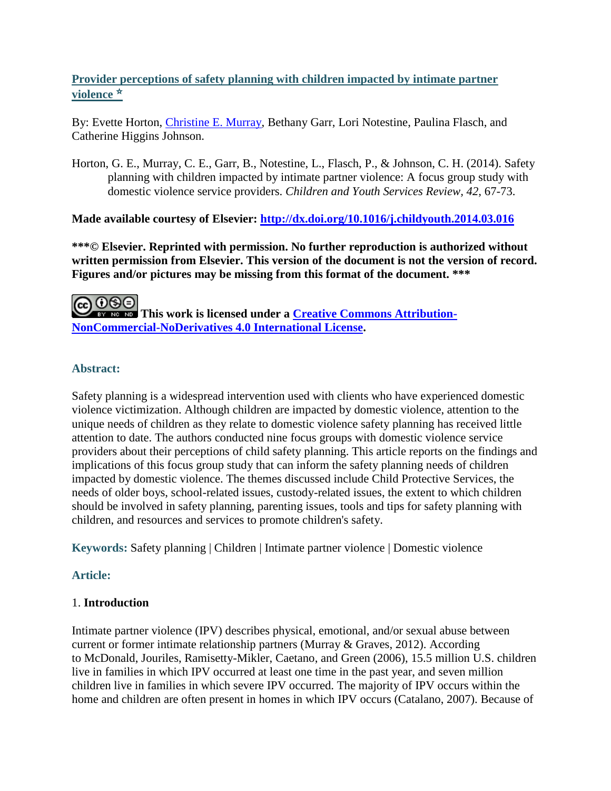# **Provider perceptions of safety planning with children impacted by intimate partner violence** ☆

By: Evette Horton, [Christine E. Murray,](https://libres.uncg.edu/ir/uncg/clist.aspx?id=894) Bethany Garr, Lori Notestine, Paulina Flasch, and Catherine Higgins Johnson.

Horton, G. E., Murray, C. E., Garr, B., Notestine, L., Flasch, P., & Johnson, C. H. (2014). Safety planning with children impacted by intimate partner violence: A focus group study with domestic violence service providers. *Children and Youth Services Review, 42,* 67-73.

# **Made available courtesy of Elsevier:<http://dx.doi.org/10.1016/j.childyouth.2014.03.016>**

**\*\*\*© Elsevier. Reprinted with permission. No further reproduction is authorized without written permission from Elsevier. This version of the document is not the version of record. Figures and/or pictures may be missing from this format of the document. \*\*\***

# **CO OSO**<br>**This work is licensed under a [Creative Commons Attribution-](http://creativecommons.org/licenses/by-nc-nd/4.0/)[NonCommercial-NoDerivatives 4.0 International License.](http://creativecommons.org/licenses/by-nc-nd/4.0/)**

# **Abstract:**

Safety planning is a widespread intervention used with clients who have experienced domestic violence victimization. Although children are impacted by domestic violence, attention to the unique needs of children as they relate to domestic violence safety planning has received little attention to date. The authors conducted nine focus groups with domestic violence service providers about their perceptions of child safety planning. This article reports on the findings and implications of this focus group study that can inform the safety planning needs of children impacted by domestic violence. The themes discussed include Child Protective Services, the needs of older boys, school-related issues, custody-related issues, the extent to which children should be involved in safety planning, parenting issues, tools and tips for safety planning with children, and resources and services to promote children's safety.

**Keywords:** Safety planning | Children | Intimate partner violence | Domestic violence

# **Article:**

# 1. **Introduction**

Intimate partner violence (IPV) describes physical, emotional, and/or sexual abuse between current or former intimate relationship partners (Murray & Graves, 2012). According to McDonald, Jouriles, Ramisetty-Mikler, Caetano, and Green (2006), 15.5 million U.S. children live in families in which IPV occurred at least one time in the past year, and seven million children live in families in which severe IPV occurred. The majority of IPV occurs within the home and children are often present in homes in which IPV occurs (Catalano, 2007). Because of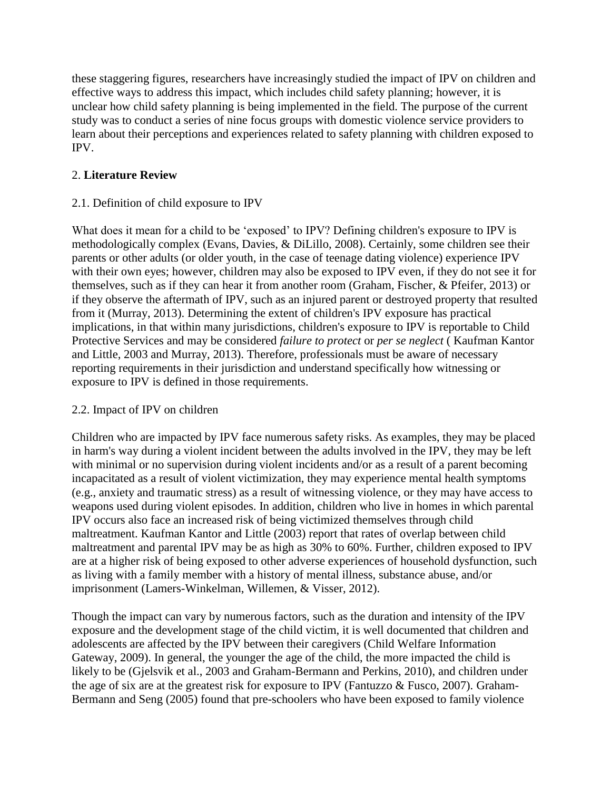these staggering figures, researchers have increasingly studied the impact of IPV on children and effective ways to address this impact, which includes child safety planning; however, it is unclear how child safety planning is being implemented in the field. The purpose of the current study was to conduct a series of nine focus groups with domestic violence service providers to learn about their perceptions and experiences related to safety planning with children exposed to IPV.

# 2. **Literature Review**

# 2.1. Definition of child exposure to IPV

What does it mean for a child to be 'exposed' to IPV? Defining children's exposure to IPV is methodologically complex (Evans, Davies, & DiLillo, 2008). Certainly, some children see their parents or other adults (or older youth, in the case of teenage dating violence) experience IPV with their own eyes; however, children may also be exposed to IPV even, if they do not see it for themselves, such as if they can hear it from another room (Graham, Fischer, & Pfeifer, 2013) or if they observe the aftermath of IPV, such as an injured parent or destroyed property that resulted from it (Murray, 2013). Determining the extent of children's IPV exposure has practical implications, in that within many jurisdictions, children's exposure to IPV is reportable to Child Protective Services and may be considered *failure to protect* or *per se neglect* ( Kaufman Kantor and Little, 2003 and Murray, 2013). Therefore, professionals must be aware of necessary reporting requirements in their jurisdiction and understand specifically how witnessing or exposure to IPV is defined in those requirements.

# 2.2. Impact of IPV on children

Children who are impacted by IPV face numerous safety risks. As examples, they may be placed in harm's way during a violent incident between the adults involved in the IPV, they may be left with minimal or no supervision during violent incidents and/or as a result of a parent becoming incapacitated as a result of violent victimization, they may experience mental health symptoms (e.g., anxiety and traumatic stress) as a result of witnessing violence, or they may have access to weapons used during violent episodes. In addition, children who live in homes in which parental IPV occurs also face an increased risk of being victimized themselves through child maltreatment. Kaufman Kantor and Little (2003) report that rates of overlap between child maltreatment and parental IPV may be as high as 30% to 60%. Further, children exposed to IPV are at a higher risk of being exposed to other adverse experiences of household dysfunction, such as living with a family member with a history of mental illness, substance abuse, and/or imprisonment (Lamers-Winkelman, Willemen, & Visser, 2012).

Though the impact can vary by numerous factors, such as the duration and intensity of the IPV exposure and the development stage of the child victim, it is well documented that children and adolescents are affected by the IPV between their caregivers (Child Welfare Information Gateway, 2009). In general, the younger the age of the child, the more impacted the child is likely to be (Gjelsvik et al., 2003 and Graham-Bermann and Perkins, 2010), and children under the age of six are at the greatest risk for exposure to IPV (Fantuzzo & Fusco, 2007). Graham-Bermann and Seng (2005) found that pre-schoolers who have been exposed to family violence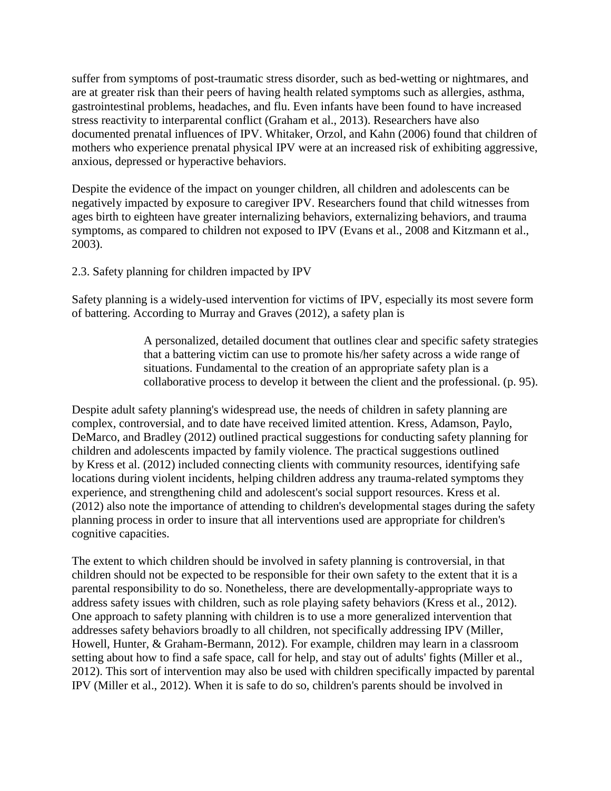suffer from symptoms of post-traumatic stress disorder, such as bed-wetting or nightmares, and are at greater risk than their peers of having health related symptoms such as allergies, asthma, gastrointestinal problems, headaches, and flu. Even infants have been found to have increased stress reactivity to interparental conflict (Graham et al., 2013). Researchers have also documented prenatal influences of IPV. Whitaker, Orzol, and Kahn (2006) found that children of mothers who experience prenatal physical IPV were at an increased risk of exhibiting aggressive, anxious, depressed or hyperactive behaviors.

Despite the evidence of the impact on younger children, all children and adolescents can be negatively impacted by exposure to caregiver IPV. Researchers found that child witnesses from ages birth to eighteen have greater internalizing behaviors, externalizing behaviors, and trauma symptoms, as compared to children not exposed to IPV (Evans et al., 2008 and Kitzmann et al., 2003).

# 2.3. Safety planning for children impacted by IPV

Safety planning is a widely-used intervention for victims of IPV, especially its most severe form of battering. According to Murray and Graves (2012), a safety plan is

> A personalized, detailed document that outlines clear and specific safety strategies that a battering victim can use to promote his/her safety across a wide range of situations. Fundamental to the creation of an appropriate safety plan is a collaborative process to develop it between the client and the professional. (p. 95).

Despite adult safety planning's widespread use, the needs of children in safety planning are complex, controversial, and to date have received limited attention. Kress, Adamson, Paylo, DeMarco, and Bradley (2012) outlined practical suggestions for conducting safety planning for children and adolescents impacted by family violence. The practical suggestions outlined by Kress et al. (2012) included connecting clients with community resources, identifying safe locations during violent incidents, helping children address any trauma-related symptoms they experience, and strengthening child and adolescent's social support resources. Kress et al. (2012) also note the importance of attending to children's developmental stages during the safety planning process in order to insure that all interventions used are appropriate for children's cognitive capacities.

The extent to which children should be involved in safety planning is controversial, in that children should not be expected to be responsible for their own safety to the extent that it is a parental responsibility to do so. Nonetheless, there are developmentally-appropriate ways to address safety issues with children, such as role playing safety behaviors (Kress et al., 2012). One approach to safety planning with children is to use a more generalized intervention that addresses safety behaviors broadly to all children, not specifically addressing IPV (Miller, Howell, Hunter, & Graham-Bermann, 2012). For example, children may learn in a classroom setting about how to find a safe space, call for help, and stay out of adults' fights (Miller et al., 2012). This sort of intervention may also be used with children specifically impacted by parental IPV (Miller et al., 2012). When it is safe to do so, children's parents should be involved in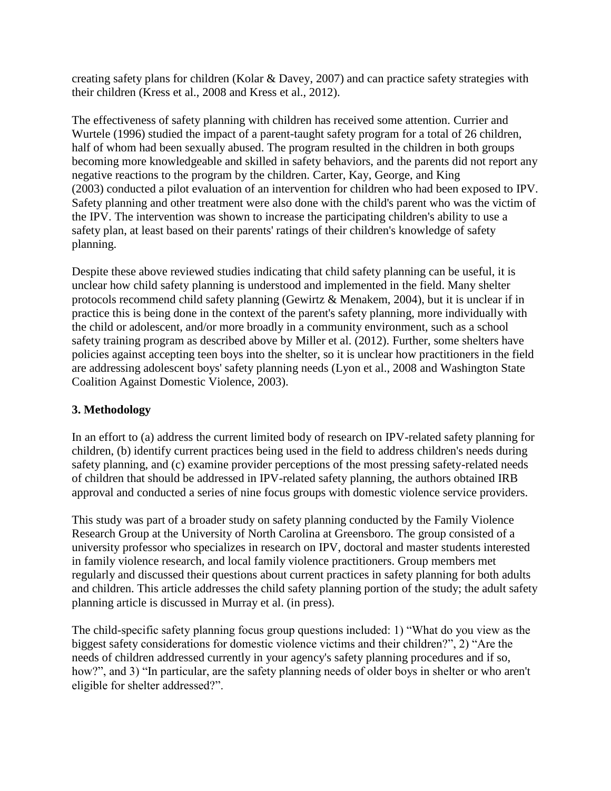creating safety plans for children (Kolar & Davey, 2007) and can practice safety strategies with their children (Kress et al., 2008 and Kress et al., 2012).

The effectiveness of safety planning with children has received some attention. Currier and Wurtele (1996) studied the impact of a parent-taught safety program for a total of 26 children, half of whom had been sexually abused. The program resulted in the children in both groups becoming more knowledgeable and skilled in safety behaviors, and the parents did not report any negative reactions to the program by the children. Carter, Kay, George, and King (2003) conducted a pilot evaluation of an intervention for children who had been exposed to IPV. Safety planning and other treatment were also done with the child's parent who was the victim of the IPV. The intervention was shown to increase the participating children's ability to use a safety plan, at least based on their parents' ratings of their children's knowledge of safety planning.

Despite these above reviewed studies indicating that child safety planning can be useful, it is unclear how child safety planning is understood and implemented in the field. Many shelter protocols recommend child safety planning (Gewirtz & Menakem, 2004), but it is unclear if in practice this is being done in the context of the parent's safety planning, more individually with the child or adolescent, and/or more broadly in a community environment, such as a school safety training program as described above by Miller et al. (2012). Further, some shelters have policies against accepting teen boys into the shelter, so it is unclear how practitioners in the field are addressing adolescent boys' safety planning needs (Lyon et al., 2008 and Washington State Coalition Against Domestic Violence, 2003).

# **3. Methodology**

In an effort to (a) address the current limited body of research on IPV-related safety planning for children, (b) identify current practices being used in the field to address children's needs during safety planning, and (c) examine provider perceptions of the most pressing safety-related needs of children that should be addressed in IPV-related safety planning, the authors obtained IRB approval and conducted a series of nine focus groups with domestic violence service providers.

This study was part of a broader study on safety planning conducted by the Family Violence Research Group at the University of North Carolina at Greensboro. The group consisted of a university professor who specializes in research on IPV, doctoral and master students interested in family violence research, and local family violence practitioners. Group members met regularly and discussed their questions about current practices in safety planning for both adults and children. This article addresses the child safety planning portion of the study; the adult safety planning article is discussed in Murray et al. (in press).

The child-specific safety planning focus group questions included: 1) "What do you view as the biggest safety considerations for domestic violence victims and their children?", 2) "Are the needs of children addressed currently in your agency's safety planning procedures and if so, how?", and 3) "In particular, are the safety planning needs of older boys in shelter or who aren't eligible for shelter addressed?".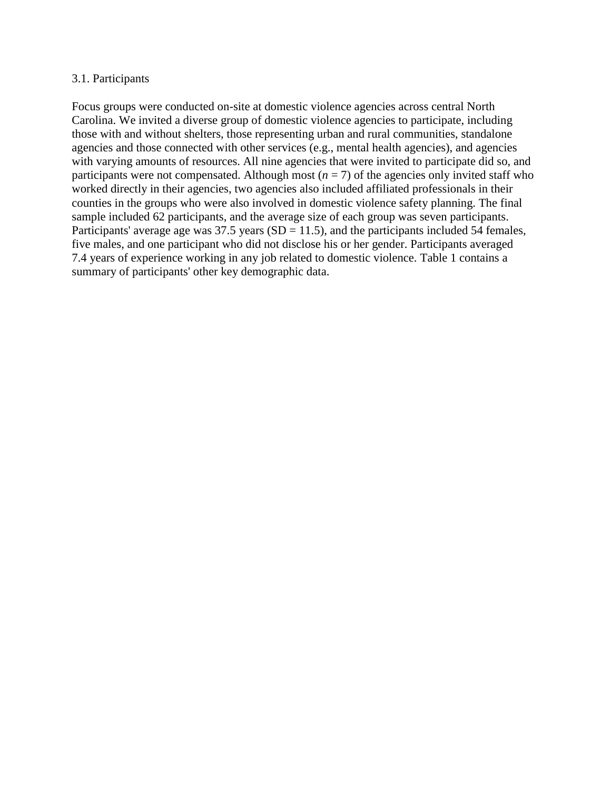#### 3.1. Participants

Focus groups were conducted on-site at domestic violence agencies across central North Carolina. We invited a diverse group of domestic violence agencies to participate, including those with and without shelters, those representing urban and rural communities, standalone agencies and those connected with other services (e.g., mental health agencies), and agencies with varying amounts of resources. All nine agencies that were invited to participate did so, and participants were not compensated. Although most  $(n = 7)$  of the agencies only invited staff who worked directly in their agencies, two agencies also included affiliated professionals in their counties in the groups who were also involved in domestic violence safety planning. The final sample included 62 participants, and the average size of each group was seven participants. Participants' average age was  $37.5$  years (SD = 11.5), and the participants included 54 females, five males, and one participant who did not disclose his or her gender. Participants averaged 7.4 years of experience working in any job related to domestic violence. Table 1 contains a summary of participants' other key demographic data.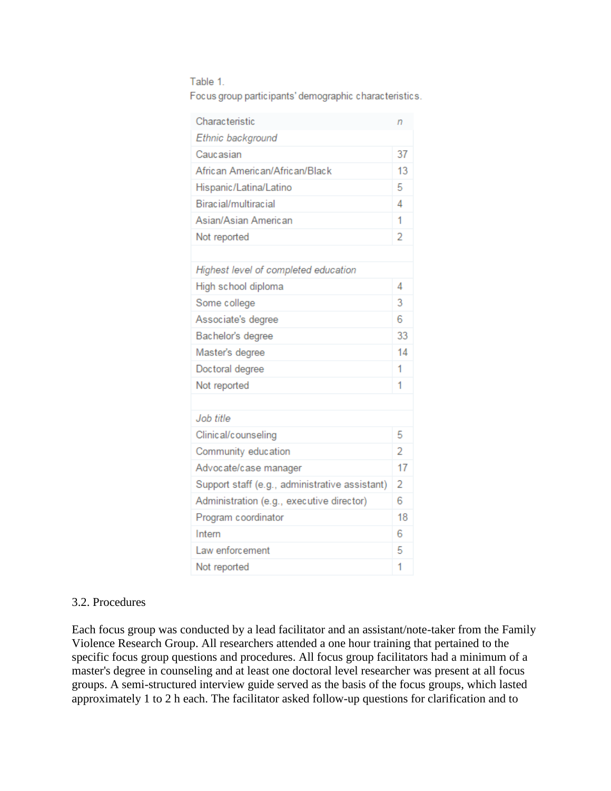Table 1.

Focus group participants' demographic characteristics.

| Characteristic                                 | n              |  |
|------------------------------------------------|----------------|--|
| Ethnic background                              |                |  |
| Caucasian                                      | 37             |  |
| African American/African/Black                 |                |  |
| Hispanic/Latina/Latino                         | 5              |  |
| Biracial/multiracial                           | 4              |  |
| Asian/Asian American                           | 1              |  |
| Not reported                                   | 2              |  |
|                                                |                |  |
| Highest level of completed education           |                |  |
| High school diploma                            | 4              |  |
| Some college                                   | 3              |  |
| Associate's degree                             | 6              |  |
| Bachelor's degree                              | 33             |  |
| Master's degree                                |                |  |
| Doctoral degree                                |                |  |
| Not reported                                   | 1              |  |
|                                                |                |  |
| Job title                                      |                |  |
| Clinical/counseling                            | 5              |  |
| Community education                            | $\overline{2}$ |  |
| Advocate/case manager                          | 17             |  |
| Support staff (e.g., administrative assistant) |                |  |
| Administration (e.g., executive director)      |                |  |
| Program coordinator                            |                |  |
| Intern                                         |                |  |
| Law enforcement                                | 5              |  |
| Not reported                                   | 1              |  |

#### 3.2. Procedures

Each focus group was conducted by a lead facilitator and an assistant/note-taker from the Family Violence Research Group. All researchers attended a one hour training that pertained to the specific focus group questions and procedures. All focus group facilitators had a minimum of a master's degree in counseling and at least one doctoral level researcher was present at all focus groups. A semi-structured interview guide served as the basis of the focus groups, which lasted approximately 1 to 2 h each. The facilitator asked follow-up questions for clarification and to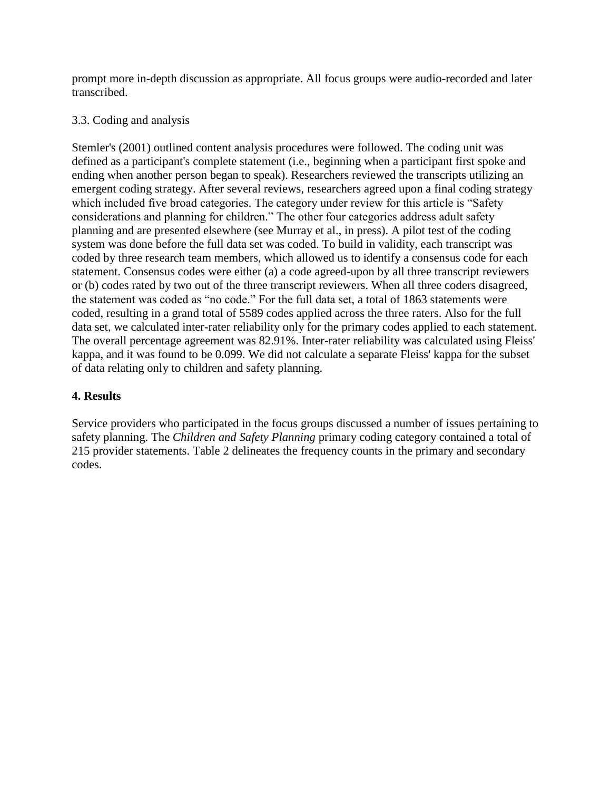prompt more in-depth discussion as appropriate. All focus groups were audio-recorded and later transcribed.

# 3.3. Coding and analysis

Stemler's (2001) outlined content analysis procedures were followed. The coding unit was defined as a participant's complete statement (i.e., beginning when a participant first spoke and ending when another person began to speak). Researchers reviewed the transcripts utilizing an emergent coding strategy. After several reviews, researchers agreed upon a final coding strategy which included five broad categories. The category under review for this article is "Safety considerations and planning for children." The other four categories address adult safety planning and are presented elsewhere (see Murray et al., in press). A pilot test of the coding system was done before the full data set was coded. To build in validity, each transcript was coded by three research team members, which allowed us to identify a consensus code for each statement. Consensus codes were either (a) a code agreed-upon by all three transcript reviewers or (b) codes rated by two out of the three transcript reviewers. When all three coders disagreed, the statement was coded as "no code." For the full data set, a total of 1863 statements were coded, resulting in a grand total of 5589 codes applied across the three raters. Also for the full data set, we calculated inter-rater reliability only for the primary codes applied to each statement. The overall percentage agreement was 82.91%. Inter-rater reliability was calculated using Fleiss' kappa, and it was found to be 0.099. We did not calculate a separate Fleiss' kappa for the subset of data relating only to children and safety planning.

# **4. Results**

Service providers who participated in the focus groups discussed a number of issues pertaining to safety planning. The *Children and Safety Planning* primary coding category contained a total of 215 provider statements. Table 2 delineates the frequency counts in the primary and secondary codes.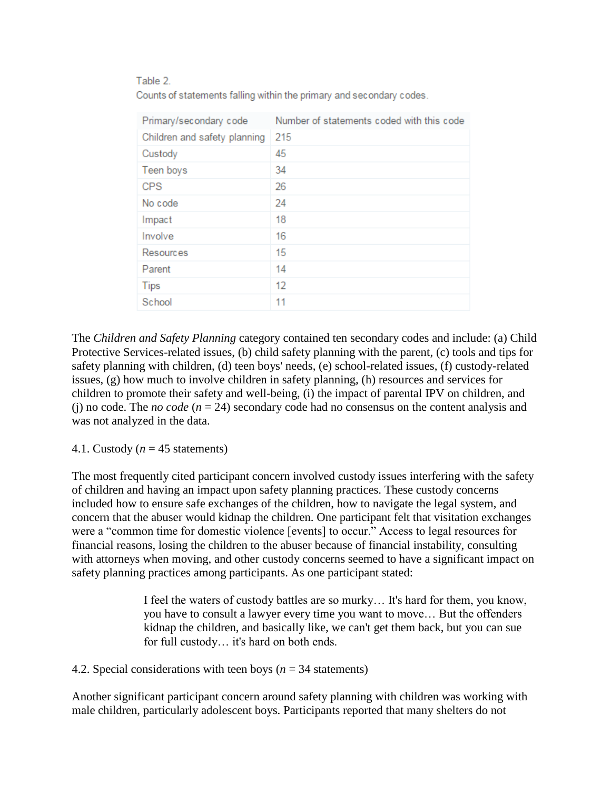Table 2. Counts of statements falling within the primary and secondary codes.

| Primary/secondary code       | Number of statements coded with this code |
|------------------------------|-------------------------------------------|
| Children and safety planning | 215                                       |
| Custody                      | 45                                        |
| Teen boys                    | 34                                        |
| <b>CPS</b>                   | 26                                        |
| No code                      | 24                                        |
| Impact                       | 18                                        |
| Involve                      | 16                                        |
| Resources                    | 15                                        |
| Parent                       | 14                                        |
| Tips                         | 12                                        |
| School                       | 11                                        |

The *Children and Safety Planning* category contained ten secondary codes and include: (a) Child Protective Services-related issues, (b) child safety planning with the parent, (c) tools and tips for safety planning with children, (d) teen boys' needs, (e) school-related issues, (f) custody-related issues, (g) how much to involve children in safety planning, (h) resources and services for children to promote their safety and well-being, (i) the impact of parental IPV on children, and (i) no code. The *no code*  $(n = 24)$  secondary code had no consensus on the content analysis and was not analyzed in the data.

### 4.1. Custody ( $n = 45$  statements)

The most frequently cited participant concern involved custody issues interfering with the safety of children and having an impact upon safety planning practices. These custody concerns included how to ensure safe exchanges of the children, how to navigate the legal system, and concern that the abuser would kidnap the children. One participant felt that visitation exchanges were a "common time for domestic violence [events] to occur." Access to legal resources for financial reasons, losing the children to the abuser because of financial instability, consulting with attorneys when moving, and other custody concerns seemed to have a significant impact on safety planning practices among participants. As one participant stated:

> I feel the waters of custody battles are so murky… It's hard for them, you know, you have to consult a lawyer every time you want to move… But the offenders kidnap the children, and basically like, we can't get them back, but you can sue for full custody… it's hard on both ends.

4.2. Special considerations with teen boys (*n* = 34 statements)

Another significant participant concern around safety planning with children was working with male children, particularly adolescent boys. Participants reported that many shelters do not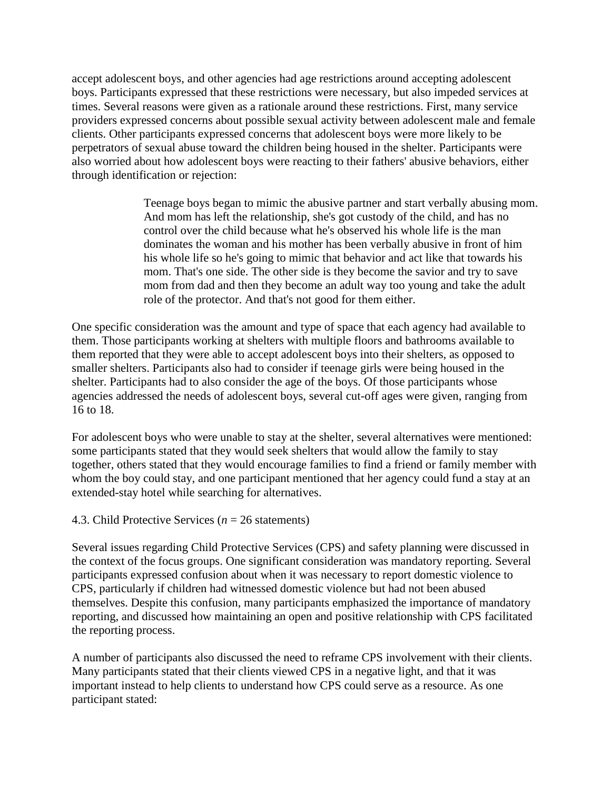accept adolescent boys, and other agencies had age restrictions around accepting adolescent boys. Participants expressed that these restrictions were necessary, but also impeded services at times. Several reasons were given as a rationale around these restrictions. First, many service providers expressed concerns about possible sexual activity between adolescent male and female clients. Other participants expressed concerns that adolescent boys were more likely to be perpetrators of sexual abuse toward the children being housed in the shelter. Participants were also worried about how adolescent boys were reacting to their fathers' abusive behaviors, either through identification or rejection:

> Teenage boys began to mimic the abusive partner and start verbally abusing mom. And mom has left the relationship, she's got custody of the child, and has no control over the child because what he's observed his whole life is the man dominates the woman and his mother has been verbally abusive in front of him his whole life so he's going to mimic that behavior and act like that towards his mom. That's one side. The other side is they become the savior and try to save mom from dad and then they become an adult way too young and take the adult role of the protector. And that's not good for them either.

One specific consideration was the amount and type of space that each agency had available to them. Those participants working at shelters with multiple floors and bathrooms available to them reported that they were able to accept adolescent boys into their shelters, as opposed to smaller shelters. Participants also had to consider if teenage girls were being housed in the shelter. Participants had to also consider the age of the boys. Of those participants whose agencies addressed the needs of adolescent boys, several cut-off ages were given, ranging from 16 to 18.

For adolescent boys who were unable to stay at the shelter, several alternatives were mentioned: some participants stated that they would seek shelters that would allow the family to stay together, others stated that they would encourage families to find a friend or family member with whom the boy could stay, and one participant mentioned that her agency could fund a stay at an extended-stay hotel while searching for alternatives.

### 4.3. Child Protective Services (*n* = 26 statements)

Several issues regarding Child Protective Services (CPS) and safety planning were discussed in the context of the focus groups. One significant consideration was mandatory reporting. Several participants expressed confusion about when it was necessary to report domestic violence to CPS, particularly if children had witnessed domestic violence but had not been abused themselves. Despite this confusion, many participants emphasized the importance of mandatory reporting, and discussed how maintaining an open and positive relationship with CPS facilitated the reporting process.

A number of participants also discussed the need to reframe CPS involvement with their clients. Many participants stated that their clients viewed CPS in a negative light, and that it was important instead to help clients to understand how CPS could serve as a resource. As one participant stated: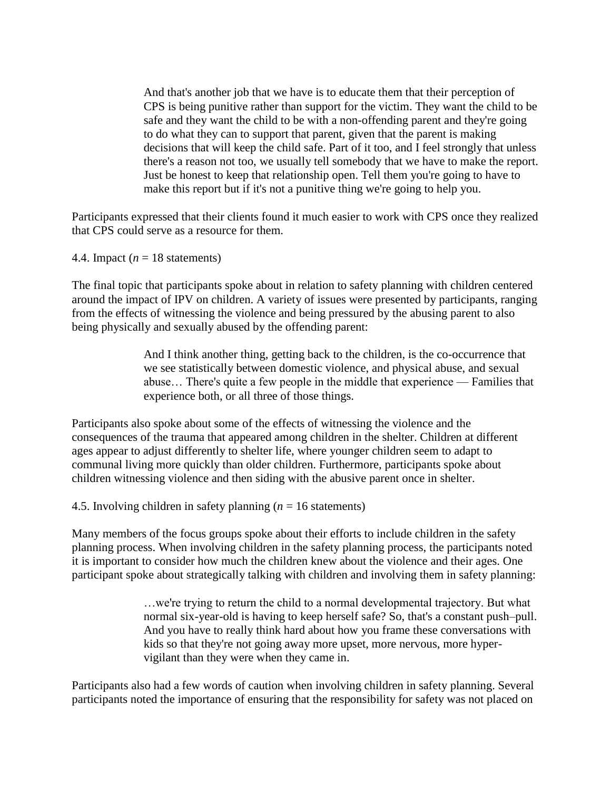And that's another job that we have is to educate them that their perception of CPS is being punitive rather than support for the victim. They want the child to be safe and they want the child to be with a non-offending parent and they're going to do what they can to support that parent, given that the parent is making decisions that will keep the child safe. Part of it too, and I feel strongly that unless there's a reason not too, we usually tell somebody that we have to make the report. Just be honest to keep that relationship open. Tell them you're going to have to make this report but if it's not a punitive thing we're going to help you.

Participants expressed that their clients found it much easier to work with CPS once they realized that CPS could serve as a resource for them.

4.4. Impact ( $n = 18$  statements)

The final topic that participants spoke about in relation to safety planning with children centered around the impact of IPV on children. A variety of issues were presented by participants, ranging from the effects of witnessing the violence and being pressured by the abusing parent to also being physically and sexually abused by the offending parent:

> And I think another thing, getting back to the children, is the co-occurrence that we see statistically between domestic violence, and physical abuse, and sexual abuse… There's quite a few people in the middle that experience — Families that experience both, or all three of those things.

Participants also spoke about some of the effects of witnessing the violence and the consequences of the trauma that appeared among children in the shelter. Children at different ages appear to adjust differently to shelter life, where younger children seem to adapt to communal living more quickly than older children. Furthermore, participants spoke about children witnessing violence and then siding with the abusive parent once in shelter.

4.5. Involving children in safety planning (*n* = 16 statements)

Many members of the focus groups spoke about their efforts to include children in the safety planning process. When involving children in the safety planning process, the participants noted it is important to consider how much the children knew about the violence and their ages. One participant spoke about strategically talking with children and involving them in safety planning:

> …we're trying to return the child to a normal developmental trajectory. But what normal six-year-old is having to keep herself safe? So, that's a constant push–pull. And you have to really think hard about how you frame these conversations with kids so that they're not going away more upset, more nervous, more hypervigilant than they were when they came in.

Participants also had a few words of caution when involving children in safety planning. Several participants noted the importance of ensuring that the responsibility for safety was not placed on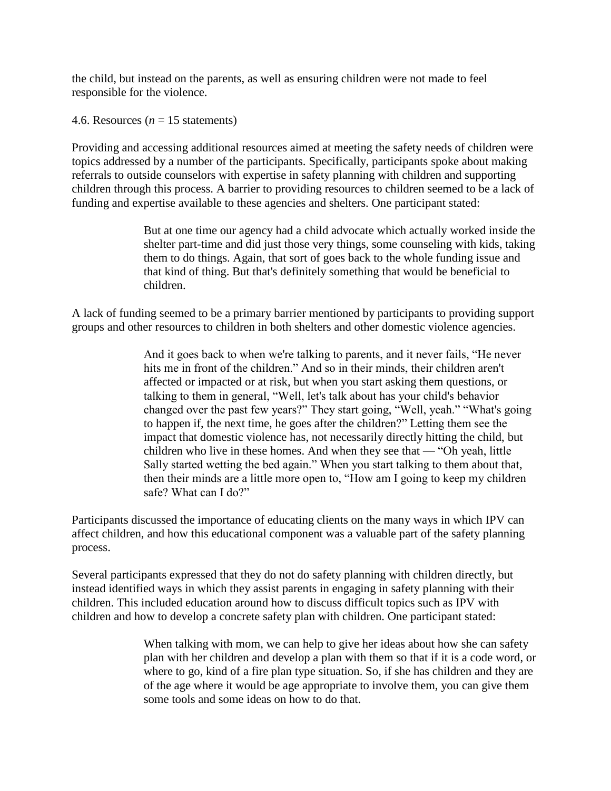the child, but instead on the parents, as well as ensuring children were not made to feel responsible for the violence.

4.6. Resources ( $n = 15$  statements)

Providing and accessing additional resources aimed at meeting the safety needs of children were topics addressed by a number of the participants. Specifically, participants spoke about making referrals to outside counselors with expertise in safety planning with children and supporting children through this process. A barrier to providing resources to children seemed to be a lack of funding and expertise available to these agencies and shelters. One participant stated:

> But at one time our agency had a child advocate which actually worked inside the shelter part-time and did just those very things, some counseling with kids, taking them to do things. Again, that sort of goes back to the whole funding issue and that kind of thing. But that's definitely something that would be beneficial to children.

A lack of funding seemed to be a primary barrier mentioned by participants to providing support groups and other resources to children in both shelters and other domestic violence agencies.

> And it goes back to when we're talking to parents, and it never fails, "He never hits me in front of the children." And so in their minds, their children aren't affected or impacted or at risk, but when you start asking them questions, or talking to them in general, "Well, let's talk about has your child's behavior changed over the past few years?" They start going, "Well, yeah." "What's going to happen if, the next time, he goes after the children?" Letting them see the impact that domestic violence has, not necessarily directly hitting the child, but children who live in these homes. And when they see that — "Oh yeah, little Sally started wetting the bed again." When you start talking to them about that, then their minds are a little more open to, "How am I going to keep my children safe? What can I do?"

Participants discussed the importance of educating clients on the many ways in which IPV can affect children, and how this educational component was a valuable part of the safety planning process.

Several participants expressed that they do not do safety planning with children directly, but instead identified ways in which they assist parents in engaging in safety planning with their children. This included education around how to discuss difficult topics such as IPV with children and how to develop a concrete safety plan with children. One participant stated:

> When talking with mom, we can help to give her ideas about how she can safety plan with her children and develop a plan with them so that if it is a code word, or where to go, kind of a fire plan type situation. So, if she has children and they are of the age where it would be age appropriate to involve them, you can give them some tools and some ideas on how to do that.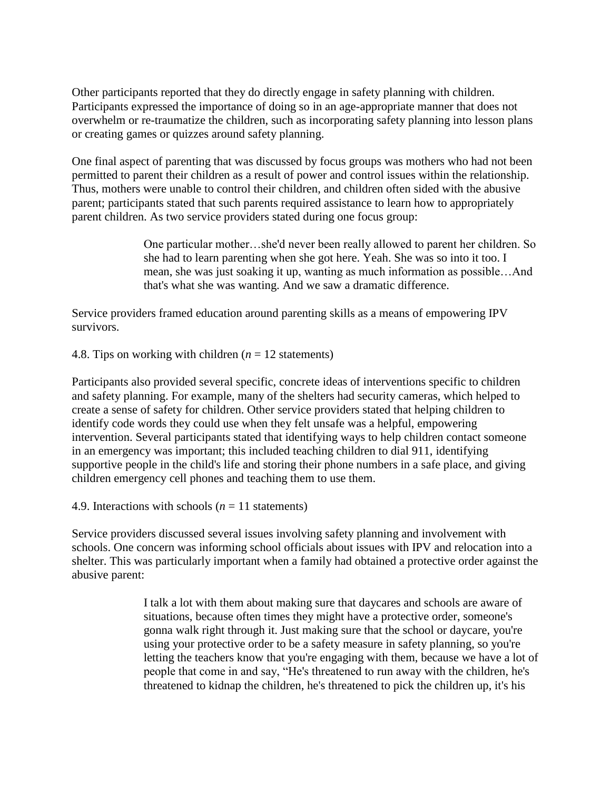Other participants reported that they do directly engage in safety planning with children. Participants expressed the importance of doing so in an age-appropriate manner that does not overwhelm or re-traumatize the children, such as incorporating safety planning into lesson plans or creating games or quizzes around safety planning.

One final aspect of parenting that was discussed by focus groups was mothers who had not been permitted to parent their children as a result of power and control issues within the relationship. Thus, mothers were unable to control their children, and children often sided with the abusive parent; participants stated that such parents required assistance to learn how to appropriately parent children. As two service providers stated during one focus group:

> One particular mother…she'd never been really allowed to parent her children. So she had to learn parenting when she got here. Yeah. She was so into it too. I mean, she was just soaking it up, wanting as much information as possible…And that's what she was wanting. And we saw a dramatic difference.

Service providers framed education around parenting skills as a means of empowering IPV survivors.

4.8. Tips on working with children (*n* = 12 statements)

Participants also provided several specific, concrete ideas of interventions specific to children and safety planning. For example, many of the shelters had security cameras, which helped to create a sense of safety for children. Other service providers stated that helping children to identify code words they could use when they felt unsafe was a helpful, empowering intervention. Several participants stated that identifying ways to help children contact someone in an emergency was important; this included teaching children to dial 911, identifying supportive people in the child's life and storing their phone numbers in a safe place, and giving children emergency cell phones and teaching them to use them.

4.9. Interactions with schools  $(n = 11$  statements)

Service providers discussed several issues involving safety planning and involvement with schools. One concern was informing school officials about issues with IPV and relocation into a shelter. This was particularly important when a family had obtained a protective order against the abusive parent:

> I talk a lot with them about making sure that daycares and schools are aware of situations, because often times they might have a protective order, someone's gonna walk right through it. Just making sure that the school or daycare, you're using your protective order to be a safety measure in safety planning, so you're letting the teachers know that you're engaging with them, because we have a lot of people that come in and say, "He's threatened to run away with the children, he's threatened to kidnap the children, he's threatened to pick the children up, it's his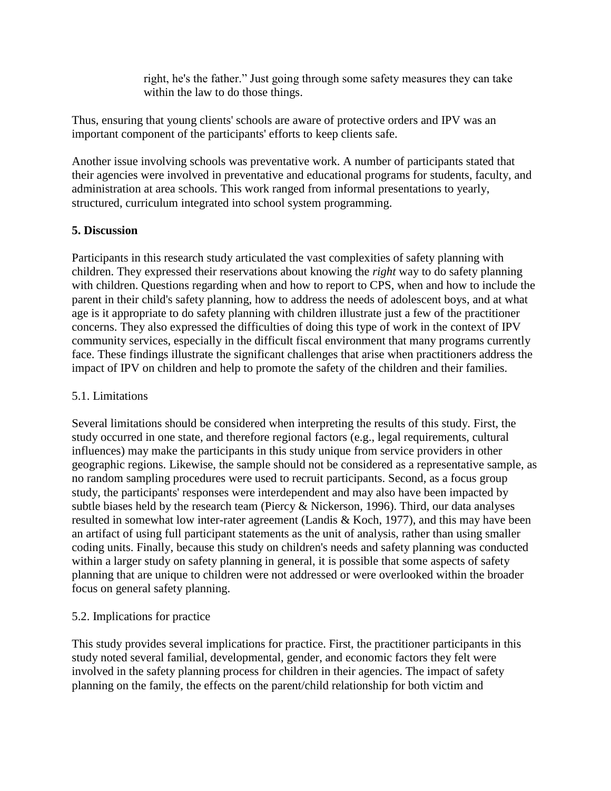right, he's the father." Just going through some safety measures they can take within the law to do those things.

Thus, ensuring that young clients' schools are aware of protective orders and IPV was an important component of the participants' efforts to keep clients safe.

Another issue involving schools was preventative work. A number of participants stated that their agencies were involved in preventative and educational programs for students, faculty, and administration at area schools. This work ranged from informal presentations to yearly, structured, curriculum integrated into school system programming.

# **5. Discussion**

Participants in this research study articulated the vast complexities of safety planning with children. They expressed their reservations about knowing the *right* way to do safety planning with children. Questions regarding when and how to report to CPS, when and how to include the parent in their child's safety planning, how to address the needs of adolescent boys, and at what age is it appropriate to do safety planning with children illustrate just a few of the practitioner concerns. They also expressed the difficulties of doing this type of work in the context of IPV community services, especially in the difficult fiscal environment that many programs currently face. These findings illustrate the significant challenges that arise when practitioners address the impact of IPV on children and help to promote the safety of the children and their families.

### 5.1. Limitations

Several limitations should be considered when interpreting the results of this study. First, the study occurred in one state, and therefore regional factors (e.g., legal requirements, cultural influences) may make the participants in this study unique from service providers in other geographic regions. Likewise, the sample should not be considered as a representative sample, as no random sampling procedures were used to recruit participants. Second, as a focus group study, the participants' responses were interdependent and may also have been impacted by subtle biases held by the research team (Piercy & Nickerson, 1996). Third, our data analyses resulted in somewhat low inter-rater agreement (Landis & Koch, 1977), and this may have been an artifact of using full participant statements as the unit of analysis, rather than using smaller coding units. Finally, because this study on children's needs and safety planning was conducted within a larger study on safety planning in general, it is possible that some aspects of safety planning that are unique to children were not addressed or were overlooked within the broader focus on general safety planning.

# 5.2. Implications for practice

This study provides several implications for practice. First, the practitioner participants in this study noted several familial, developmental, gender, and economic factors they felt were involved in the safety planning process for children in their agencies. The impact of safety planning on the family, the effects on the parent/child relationship for both victim and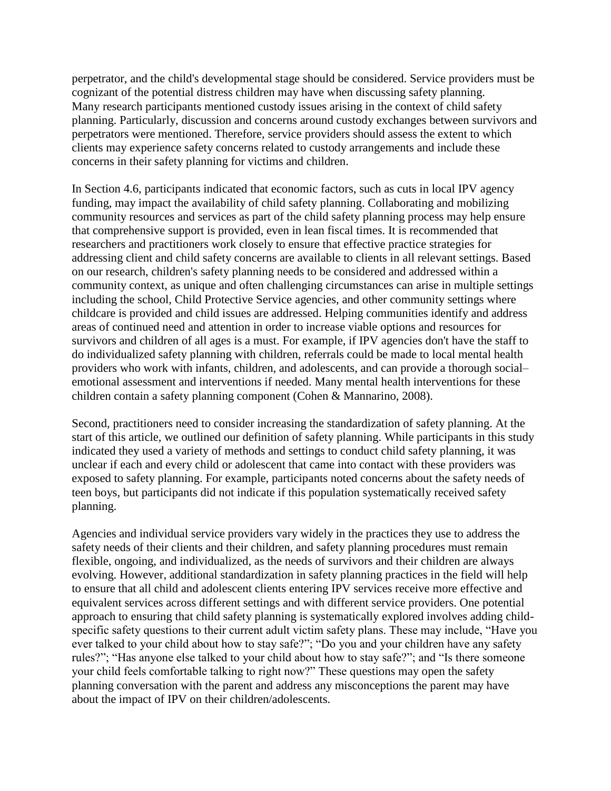perpetrator, and the child's developmental stage should be considered. Service providers must be cognizant of the potential distress children may have when discussing safety planning. Many research participants mentioned custody issues arising in the context of child safety planning. Particularly, discussion and concerns around custody exchanges between survivors and perpetrators were mentioned. Therefore, service providers should assess the extent to which clients may experience safety concerns related to custody arrangements and include these concerns in their safety planning for victims and children.

In Section 4.6, participants indicated that economic factors, such as cuts in local IPV agency funding, may impact the availability of child safety planning. Collaborating and mobilizing community resources and services as part of the child safety planning process may help ensure that comprehensive support is provided, even in lean fiscal times. It is recommended that researchers and practitioners work closely to ensure that effective practice strategies for addressing client and child safety concerns are available to clients in all relevant settings. Based on our research, children's safety planning needs to be considered and addressed within a community context, as unique and often challenging circumstances can arise in multiple settings including the school, Child Protective Service agencies, and other community settings where childcare is provided and child issues are addressed. Helping communities identify and address areas of continued need and attention in order to increase viable options and resources for survivors and children of all ages is a must. For example, if IPV agencies don't have the staff to do individualized safety planning with children, referrals could be made to local mental health providers who work with infants, children, and adolescents, and can provide a thorough social– emotional assessment and interventions if needed. Many mental health interventions for these children contain a safety planning component (Cohen & Mannarino, 2008).

Second, practitioners need to consider increasing the standardization of safety planning. At the start of this article, we outlined our definition of safety planning. While participants in this study indicated they used a variety of methods and settings to conduct child safety planning, it was unclear if each and every child or adolescent that came into contact with these providers was exposed to safety planning. For example, participants noted concerns about the safety needs of teen boys, but participants did not indicate if this population systematically received safety planning.

Agencies and individual service providers vary widely in the practices they use to address the safety needs of their clients and their children, and safety planning procedures must remain flexible, ongoing, and individualized, as the needs of survivors and their children are always evolving. However, additional standardization in safety planning practices in the field will help to ensure that all child and adolescent clients entering IPV services receive more effective and equivalent services across different settings and with different service providers. One potential approach to ensuring that child safety planning is systematically explored involves adding childspecific safety questions to their current adult victim safety plans. These may include, "Have you ever talked to your child about how to stay safe?"; "Do you and your children have any safety rules?"; "Has anyone else talked to your child about how to stay safe?"; and "Is there someone your child feels comfortable talking to right now?" These questions may open the safety planning conversation with the parent and address any misconceptions the parent may have about the impact of IPV on their children/adolescents.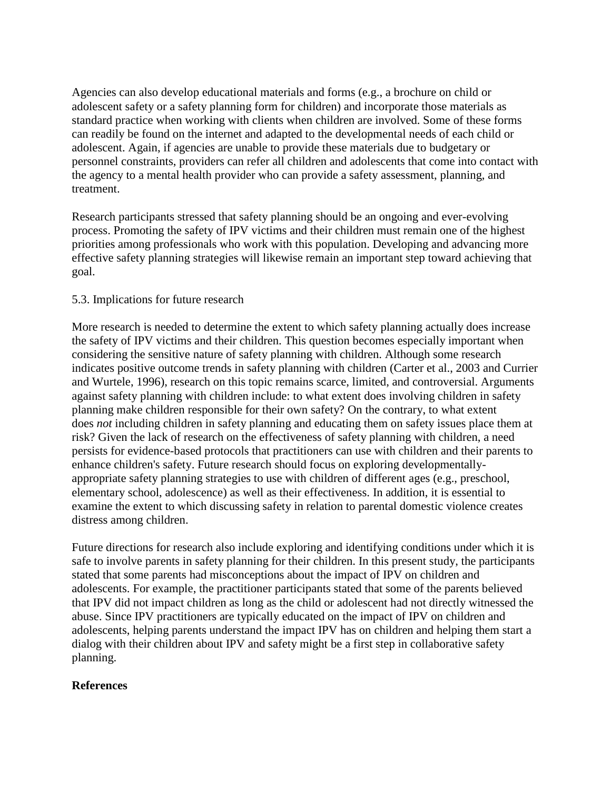Agencies can also develop educational materials and forms (e.g., a brochure on child or adolescent safety or a safety planning form for children) and incorporate those materials as standard practice when working with clients when children are involved. Some of these forms can readily be found on the internet and adapted to the developmental needs of each child or adolescent. Again, if agencies are unable to provide these materials due to budgetary or personnel constraints, providers can refer all children and adolescents that come into contact with the agency to a mental health provider who can provide a safety assessment, planning, and treatment.

Research participants stressed that safety planning should be an ongoing and ever-evolving process. Promoting the safety of IPV victims and their children must remain one of the highest priorities among professionals who work with this population. Developing and advancing more effective safety planning strategies will likewise remain an important step toward achieving that goal.

### 5.3. Implications for future research

More research is needed to determine the extent to which safety planning actually does increase the safety of IPV victims and their children. This question becomes especially important when considering the sensitive nature of safety planning with children. Although some research indicates positive outcome trends in safety planning with children (Carter et al., 2003 and Currier and Wurtele, 1996), research on this topic remains scarce, limited, and controversial. Arguments against safety planning with children include: to what extent does involving children in safety planning make children responsible for their own safety? On the contrary, to what extent does *not* including children in safety planning and educating them on safety issues place them at risk? Given the lack of research on the effectiveness of safety planning with children, a need persists for evidence-based protocols that practitioners can use with children and their parents to enhance children's safety. Future research should focus on exploring developmentallyappropriate safety planning strategies to use with children of different ages (e.g., preschool, elementary school, adolescence) as well as their effectiveness. In addition, it is essential to examine the extent to which discussing safety in relation to parental domestic violence creates distress among children.

Future directions for research also include exploring and identifying conditions under which it is safe to involve parents in safety planning for their children. In this present study, the participants stated that some parents had misconceptions about the impact of IPV on children and adolescents. For example, the practitioner participants stated that some of the parents believed that IPV did not impact children as long as the child or adolescent had not directly witnessed the abuse. Since IPV practitioners are typically educated on the impact of IPV on children and adolescents, helping parents understand the impact IPV has on children and helping them start a dialog with their children about IPV and safety might be a first step in collaborative safety planning.

### **References**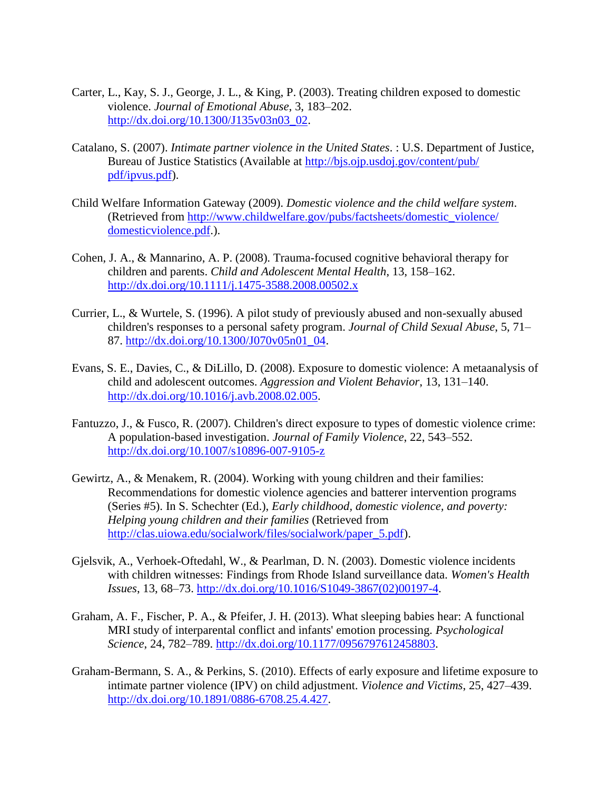- Carter, L., Kay, S. J., George, J. L., & King, P. (2003). Treating children exposed to domestic violence. *Journal of Emotional Abuse*, 3, 183–202. [http://dx.doi.org/10.1300/J135v03n03\\_02.](http://dx.doi.org/10.1300/J135v03n03_02)
- Catalano, S. (2007). *Intimate partner violence in the United States*. : U.S. Department of Justice, Bureau of Justice Statistics (Available at [http://bjs.ojp.usdoj.gov/content/pub/](http://bjs.ojp.usdoj.gov/content/pub/%20pdf/ipvus.pdf)  [pdf/ipvus.pdf\)](http://bjs.ojp.usdoj.gov/content/pub/%20pdf/ipvus.pdf).
- Child Welfare Information Gateway (2009). *Domestic violence and the child welfare system*. (Retrieved from [http://www.childwelfare.gov/pubs/factsheets/domestic\\_violence/](http://www.childwelfare.gov/pubs/factsheets/domestic_violence/%20domesticviolence.pdf)  [domesticviolence.pdf.](http://www.childwelfare.gov/pubs/factsheets/domestic_violence/%20domesticviolence.pdf)).
- Cohen, J. A., & Mannarino, A. P. (2008). Trauma-focused cognitive behavioral therapy for children and parents. *Child and Adolescent Mental Health*, 13, 158–162. <http://dx.doi.org/10.1111/j.1475-3588.2008.00502.x>
- Currier, L., & Wurtele, S. (1996). A pilot study of previously abused and non-sexually abused children's responses to a personal safety program. *Journal of Child Sexual Abuse*, 5, 71– 87. [http://dx.doi.org/10.1300/J070v05n01\\_04.](http://dx.doi.org/10.1300/J070v05n01_04)
- Evans, S. E., Davies, C., & DiLillo, D. (2008). Exposure to domestic violence: A metaanalysis of child and adolescent outcomes. *Aggression and Violent Behavior*, 13, 131–140. [http://dx.doi.org/10.1016/j.avb.2008.02.005.](http://dx.doi.org/10.1016/j.avb.2008.02.005)
- Fantuzzo, J., & Fusco, R. (2007). Children's direct exposure to types of domestic violence crime: A population-based investigation. *Journal of Family Violence*, 22, 543–552. <http://dx.doi.org/10.1007/s10896-007-9105-z>
- Gewirtz, A., & Menakem, R. (2004). Working with young children and their families: Recommendations for domestic violence agencies and batterer intervention programs (Series #5). In S. Schechter (Ed.), *Early childhood, domestic violence, and poverty: Helping young children and their families* (Retrieved from [http://clas.uiowa.edu/socialwork/files/socialwork/paper\\_5.pdf\)](http://clas.uiowa.edu/socialwork/files/socialwork/paper_5.pdf).
- Gjelsvik, A., Verhoek-Oftedahl, W., & Pearlman, D. N. (2003). Domestic violence incidents with children witnesses: Findings from Rhode Island surveillance data. *Women's Health Issues*, 13, 68–73. [http://dx.doi.org/10.1016/S1049-3867\(02\)00197-4.](http://dx.doi.org/10.1016/S1049-3867(02)00197-4)
- Graham, A. F., Fischer, P. A., & Pfeifer, J. H. (2013). What sleeping babies hear: A functional MRI study of interparental conflict and infants' emotion processing. *Psychological Science*, 24, 782–789. [http://dx.doi.org/10.1177/0956797612458803.](http://dx.doi.org/10.1177/0956797612458803)
- Graham-Bermann, S. A., & Perkins, S. (2010). Effects of early exposure and lifetime exposure to intimate partner violence (IPV) on child adjustment. *Violence and Victims*, 25, 427–439. [http://dx.doi.org/10.1891/0886-6708.25.4.427.](http://dx.doi.org/10.1891/0886-6708.25.4.427)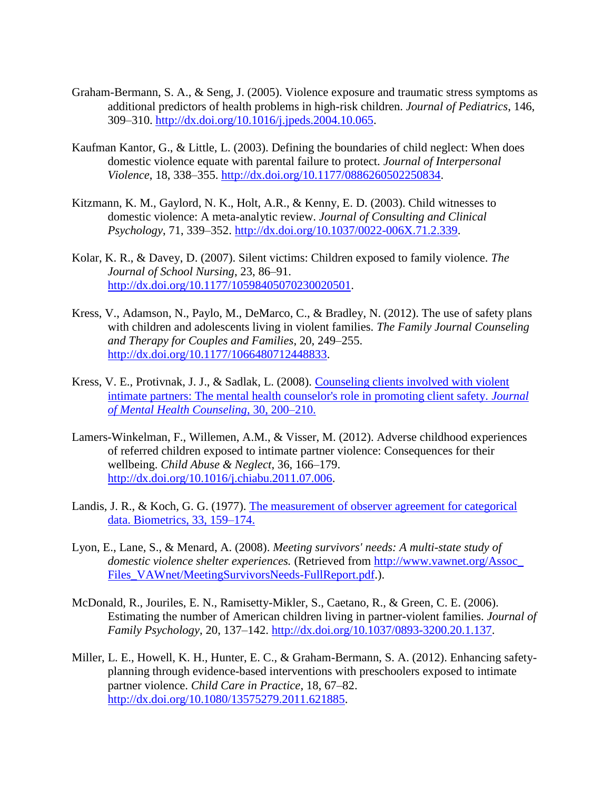- Graham-Bermann, S. A., & Seng, J. (2005). Violence exposure and traumatic stress symptoms as additional predictors of health problems in high-risk children. *Journal of Pediatrics*, 146, 309–310. [http://dx.doi.org/10.1016/j.jpeds.2004.10.065.](http://dx.doi.org/10.1016/j.jpeds.2004.10.065)
- Kaufman Kantor, G., & Little, L. (2003). Defining the boundaries of child neglect: When does domestic violence equate with parental failure to protect. *Journal of Interpersonal Violence*, 18, 338–355. [http://dx.doi.org/10.1177/0886260502250834.](http://dx.doi.org/10.1177/0886260502250834)
- Kitzmann, K. M., Gaylord, N. K., Holt, A.R., & Kenny, E. D. (2003). Child witnesses to domestic violence: A meta-analytic review. *Journal of Consulting and Clinical Psychology*, 71, 339–352. [http://dx.doi.org/10.1037/0022-006X.71.2.339.](http://dx.doi.org/10.1037/0022-006X.71.2.339)
- Kolar, K. R., & Davey, D. (2007). Silent victims: Children exposed to family violence. *The Journal of School Nursing*, 23, 86–91. [http://dx.doi.org/10.1177/10598405070230020501.](http://dx.doi.org/10.1177/10598405070230020501)
- Kress, V., Adamson, N., Paylo, M., DeMarco, C., & Bradley, N. (2012). The use of safety plans with children and adolescents living in violent families. *The Family Journal Counseling and Therapy for Couples and Families*, 20, 249–255. [http://dx.doi.org/10.1177/1066480712448833.](http://dx.doi.org/10.1177/1066480712448833)
- Kress, V. E., Protivnak, J. J., & Sadlak, L. (2008). [Counseling clients involved with violent](http://refhub.elsevier.com/S0190-7409(14)00115-7/rf0060)  [intimate partners: The mental health counselor's role in promoting client safety.](http://refhub.elsevier.com/S0190-7409(14)00115-7/rf0060) *Journal [of Mental Health Counseling](http://refhub.elsevier.com/S0190-7409(14)00115-7/rf0060)*, 30, 200–210.
- Lamers-Winkelman, F., Willemen, A.M., & Visser, M. (2012). Adverse childhood experiences of referred children exposed to intimate partner violence: Consequences for their wellbeing. *Child Abuse & Neglect*, 36, 166–179. [http://dx.doi.org/10.1016/j.chiabu.2011.07.006.](http://dx.doi.org/10.1016/j.chiabu.2011.07.006)
- Landis, J. R., & Koch, G. G. (1977). [The measurement of observer agreement for categorical](http://refhub.elsevier.com/S0190-7409(14)00115-7/rf0070)  [data. Biometrics, 33, 159–174.](http://refhub.elsevier.com/S0190-7409(14)00115-7/rf0070)
- Lyon, E., Lane, S., & Menard, A. (2008). *Meeting survivors' needs: A multi-state study of domestic violence shelter experiences.* (Retrieved from [http://www.vawnet.org/Assoc\\_](http://www.vawnet.org/Assoc_%20Files_VAWnet/MeetingSurvivorsNeeds-FullReport.pdf)  [Files\\_VAWnet/MeetingSurvivorsNeeds-FullReport.pdf.](http://www.vawnet.org/Assoc_%20Files_VAWnet/MeetingSurvivorsNeeds-FullReport.pdf)).
- McDonald, R., Jouriles, E. N., Ramisetty-Mikler, S., Caetano, R., & Green, C. E. (2006). Estimating the number of American children living in partner-violent families. *Journal of Family Psychology*, 20, 137–142. [http://dx.doi.org/10.1037/0893-3200.20.1.137.](http://dx.doi.org/10.1037/0893-3200.20.1.137)
- Miller, L. E., Howell, K. H., Hunter, E. C., & Graham-Bermann, S. A. (2012). Enhancing safetyplanning through evidence-based interventions with preschoolers exposed to intimate partner violence. *Child Care in Practice*, 18, 67–82. [http://dx.doi.org/10.1080/13575279.2011.621885.](http://dx.doi.org/10.1080/13575279.2011.621885)